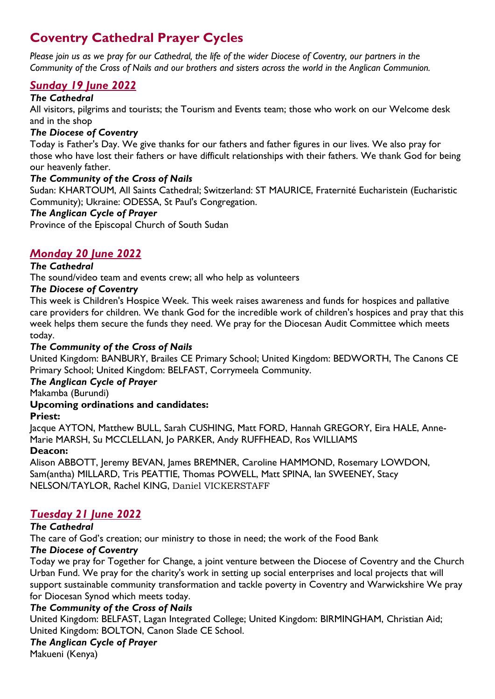# **Coventry Cathedral Prayer Cycles**

*Please join us as we pray for our Cathedral, the life of the wider Diocese of Coventry, our partners in the Community of the Cross of Nails and our brothers and sisters across the world in the Anglican Communion.*

# *Sunday 19 June 2022*

### *The Cathedral*

All visitors, pilgrims and tourists; the Tourism and Events team; those who work on our Welcome desk and in the shop

## *The Diocese of Coventry*

Today is Father's Day. We give thanks for our fathers and father figures in our lives. We also pray for those who have lost their fathers or have difficult relationships with their fathers. We thank God for being our heavenly father.

# *The Community of the Cross of Nails*

Sudan: KHARTOUM, All Saints Cathedral; Switzerland: ST MAURICE, Fraternité Eucharistein (Eucharistic Community); Ukraine: ODESSA, St Paul's Congregation.

## *The Anglican Cycle of Prayer*

Province of the Episcopal Church of South Sudan

# *Monday 20 June 2022*

# *The Cathedral*

The sound/video team and events crew; all who help as volunteers

## *The Diocese of Coventry*

This week is Children's Hospice Week. This week raises awareness and funds for hospices and pallative care providers for children. We thank God for the incredible work of children's hospices and pray that this week helps them secure the funds they need. We pray for the Diocesan Audit Committee which meets today.

### *The Community of the Cross of Nails*

United Kingdom: BANBURY, Brailes CE Primary School; United Kingdom: BEDWORTH, The Canons CE Primary School; United Kingdom: BELFAST, Corrymeela Community.

#### *The Anglican Cycle of Prayer*

Makamba (Burundi)

# **Upcoming ordinations and candidates:**

#### **Priest:**

Jacque AYTON, Matthew BULL, Sarah CUSHING, Matt FORD, Hannah GREGORY, Eira HALE, Anne-Marie MARSH, Su MCCLELLAN, Jo PARKER, Andy RUFFHEAD, Ros WILLIAMS

#### **Deacon:**

Alison ABBOTT, Jeremy BEVAN, James BREMNER, Caroline HAMMOND, Rosemary LOWDON, Sam(antha) MILLARD, Tris PEATTIE, Thomas POWELL, Matt SPINA, Ian SWEENEY, Stacy NELSON/TAYLOR, Rachel KING, Daniel VICKERSTAFF

# *Tuesday 21 June 2022*

# *The Cathedral*

The care of God's creation; our ministry to those in need; the work of the Food Bank

# *The Diocese of Coventry*

Today we pray for Together for Change, a joint venture between the Diocese of Coventry and the Church Urban Fund. We pray for the charity's work in setting up social enterprises and local projects that will support sustainable community transformation and tackle poverty in Coventry and Warwickshire We pray for Diocesan Synod which meets today.

# *The Community of the Cross of Nails*

United Kingdom: BELFAST, Lagan Integrated College; United Kingdom: BIRMINGHAM, Christian Aid; United Kingdom: BOLTON, Canon Slade CE School.

#### *The Anglican Cycle of Prayer*

Makueni (Kenya)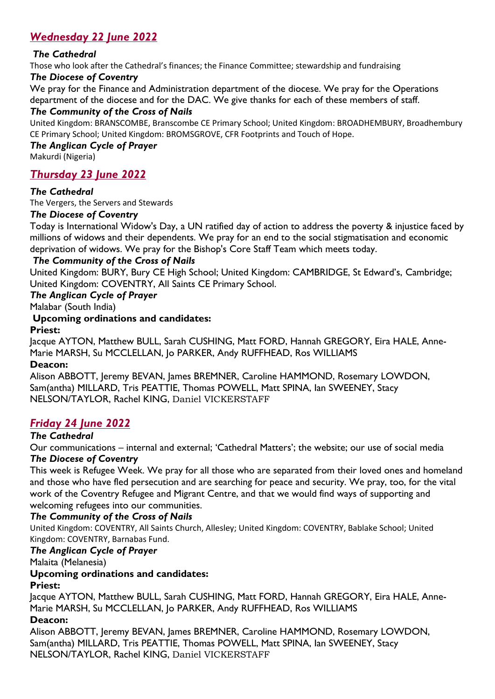# *Wednesday 22 June 2022*

## *The Cathedral*

Those who look after the Cathedral's finances; the Finance Committee; stewardship and fundraising

#### *The Diocese of Coventry*

We pray for the Finance and Administration department of the diocese. We pray for the Operations department of the diocese and for the DAC. We give thanks for each of these members of staff.

#### *The Community of the Cross of Nails*

United Kingdom: BRANSCOMBE, Branscombe CE Primary School; United Kingdom: BROADHEMBURY, Broadhembury CE Primary School; United Kingdom: BROMSGROVE, CFR Footprints and Touch of Hope.

#### *The Anglican Cycle of Prayer*

Makurdi (Nigeria)

# *Thursday 23 June 2022*

#### *The Cathedral*

The Vergers, the Servers and Stewards

#### *The Diocese of Coventry*

Today is International Widow's Day, a UN ratified day of action to address the poverty & injustice faced by millions of widows and their dependents. We pray for an end to the social stigmatisation and economic deprivation of widows. We pray for the Bishop's Core Staff Team which meets today.

#### *The Community of the Cross of Nails*

United Kingdom: BURY, Bury CE High School; United Kingdom: CAMBRIDGE, St Edward's, Cambridge; United Kingdom: COVENTRY, All Saints CE Primary School.

#### *The Anglican Cycle of Prayer*

Malabar (South India)

**Upcoming ordinations and candidates:**

#### **Priest:**

Jacque AYTON, Matthew BULL, Sarah CUSHING, Matt FORD, Hannah GREGORY, Eira HALE, Anne-Marie MARSH, Su MCCLELLAN, Jo PARKER, Andy RUFFHEAD, Ros WILLIAMS

#### **Deacon:**

Alison ABBOTT, Jeremy BEVAN, James BREMNER, Caroline HAMMOND, Rosemary LOWDON, Sam(antha) MILLARD, Tris PEATTIE, Thomas POWELL, Matt SPINA, Ian SWEENEY, Stacy NELSON/TAYLOR, Rachel KING, Daniel VICKERSTAFF

# *Friday 24 June 2022*

#### *The Cathedral*

Our communications – internal and external; 'Cathedral Matters'; the website; our use of social media *The Diocese of Coventry* 

This week is Refugee Week. We pray for all those who are separated from their loved ones and homeland and those who have fled persecution and are searching for peace and security. We pray, too, for the vital work of the Coventry Refugee and Migrant Centre, and that we would find ways of supporting and welcoming refugees into our communities.

#### *The Community of the Cross of Nails*

United Kingdom: COVENTRY, All Saints Church, Allesley; United Kingdom: COVENTRY, Bablake School; United Kingdom: COVENTRY, Barnabas Fund.

## *The Anglican Cycle of Prayer*

Malaita (Melanesia)

#### **Upcoming ordinations and candidates:**

#### **Priest:**

Jacque AYTON, Matthew BULL, Sarah CUSHING, Matt FORD, Hannah GREGORY, Eira HALE, Anne-Marie MARSH, Su MCCLELLAN, Jo PARKER, Andy RUFFHEAD, Ros WILLIAMS

#### **Deacon:**

Alison ABBOTT, Jeremy BEVAN, James BREMNER, Caroline HAMMOND, Rosemary LOWDON, Sam(antha) MILLARD, Tris PEATTIE, Thomas POWELL, Matt SPINA, Ian SWEENEY, Stacy NELSON/TAYLOR, Rachel KING, Daniel VICKERSTAFF